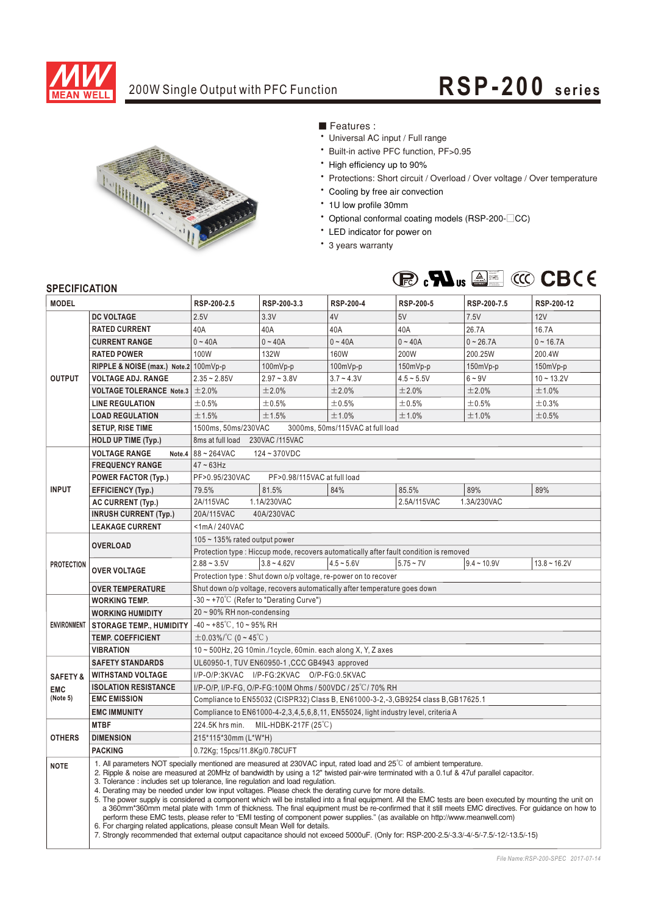

## 200W Single Output with PFC Function **RSP-200** series



■ Features :

- Universal AC input / Full range
- \* Built-in active PFC function, PF>0.95
- High efficiency up to 90%
- \* Protections: Short circuit / Overload / Over voltage / Over temperature
- \* Cooling by free air convection
- \* 1U low profile 30mm
- Optional conformal coating models (RSP-200-CC)
- \* LED indicator for power on
- \* 3 years warranty



### **SPECIFICATION**

| טר בעוו וטאווטוז<br><b>MODEL</b> |                                       | RSP-200-2.5                                                                                                                                                                                                                                                                                                                                                                                                                                                                                                                                                                                                                                                                                                                                                                                                                                                                                                                                                                                                                                                                                                                                | RSP-200-3.3   | <b>RSP-200-4</b> | RSP-200-5    | RSP-200-7.5   | RSP-200-12     |  |  |  |
|----------------------------------|---------------------------------------|--------------------------------------------------------------------------------------------------------------------------------------------------------------------------------------------------------------------------------------------------------------------------------------------------------------------------------------------------------------------------------------------------------------------------------------------------------------------------------------------------------------------------------------------------------------------------------------------------------------------------------------------------------------------------------------------------------------------------------------------------------------------------------------------------------------------------------------------------------------------------------------------------------------------------------------------------------------------------------------------------------------------------------------------------------------------------------------------------------------------------------------------|---------------|------------------|--------------|---------------|----------------|--|--|--|
|                                  | <b>DC VOLTAGE</b>                     | 2.5V                                                                                                                                                                                                                                                                                                                                                                                                                                                                                                                                                                                                                                                                                                                                                                                                                                                                                                                                                                                                                                                                                                                                       | 3.3V          | 4V               | 5V           | 7.5V          | 12V            |  |  |  |
| <b>OUTPUT</b>                    | <b>RATED CURRENT</b>                  | 40A                                                                                                                                                                                                                                                                                                                                                                                                                                                                                                                                                                                                                                                                                                                                                                                                                                                                                                                                                                                                                                                                                                                                        | 40A           | 40A              | 40A          | 26.7A         | 16.7A          |  |  |  |
|                                  | <b>CURRENT RANGE</b>                  | $0 - 40A$                                                                                                                                                                                                                                                                                                                                                                                                                                                                                                                                                                                                                                                                                                                                                                                                                                                                                                                                                                                                                                                                                                                                  | $0 - 40A$     | $0 - 40A$        | $0 - 40A$    | $0 - 26.7A$   | $0 - 16.7A$    |  |  |  |
|                                  | <b>RATED POWER</b>                    | 100W                                                                                                                                                                                                                                                                                                                                                                                                                                                                                                                                                                                                                                                                                                                                                                                                                                                                                                                                                                                                                                                                                                                                       | <b>132W</b>   | 160W             | 200W         | 200.25W       | 200.4W         |  |  |  |
|                                  | RIPPLE & NOISE (max.) Note.2 100mVp-p |                                                                                                                                                                                                                                                                                                                                                                                                                                                                                                                                                                                                                                                                                                                                                                                                                                                                                                                                                                                                                                                                                                                                            | $100mVp-p$    | 100mVp-p         | 150mVp-p     | 150mVp-p      | 150mVp-p       |  |  |  |
|                                  | <b>VOLTAGE ADJ. RANGE</b>             | $2.35 - 2.85V$                                                                                                                                                                                                                                                                                                                                                                                                                                                                                                                                                                                                                                                                                                                                                                                                                                                                                                                                                                                                                                                                                                                             | $2.97 - 3.8V$ | $3.7 - 4.3V$     | $4.5 - 5.5V$ | $6 - 9V$      | $10 - 13.2V$   |  |  |  |
|                                  | <b>VOLTAGE TOLERANCE Note.3</b>       | ±2.0%                                                                                                                                                                                                                                                                                                                                                                                                                                                                                                                                                                                                                                                                                                                                                                                                                                                                                                                                                                                                                                                                                                                                      | ±2.0%         | ±2.0%            | ±2.0%        | ±2.0%         | ±1.0%          |  |  |  |
|                                  | <b>LINE REGULATION</b>                | ±0.5%                                                                                                                                                                                                                                                                                                                                                                                                                                                                                                                                                                                                                                                                                                                                                                                                                                                                                                                                                                                                                                                                                                                                      | ±0.5%         | ±0.5%            | ±0.5%        | ±0.5%         | ±0.3%          |  |  |  |
|                                  | <b>LOAD REGULATION</b>                | ±1.5%                                                                                                                                                                                                                                                                                                                                                                                                                                                                                                                                                                                                                                                                                                                                                                                                                                                                                                                                                                                                                                                                                                                                      | ±1.5%         | ±1.0%            | ±1.0%        | ±1.0%         | ±0.5%          |  |  |  |
|                                  | <b>SETUP, RISE TIME</b>               | 1500ms, 50ms/230VAC<br>3000ms, 50ms/115VAC at full load                                                                                                                                                                                                                                                                                                                                                                                                                                                                                                                                                                                                                                                                                                                                                                                                                                                                                                                                                                                                                                                                                    |               |                  |              |               |                |  |  |  |
|                                  | <b>HOLD UP TIME (Typ.)</b>            | 230VAC /115VAC<br>8ms at full load                                                                                                                                                                                                                                                                                                                                                                                                                                                                                                                                                                                                                                                                                                                                                                                                                                                                                                                                                                                                                                                                                                         |               |                  |              |               |                |  |  |  |
|                                  | <b>VOLTAGE RANGE</b>                  | Note.4 $ 88 - 264$ VAC<br>124~370VDC                                                                                                                                                                                                                                                                                                                                                                                                                                                                                                                                                                                                                                                                                                                                                                                                                                                                                                                                                                                                                                                                                                       |               |                  |              |               |                |  |  |  |
| <b>INPUT</b>                     | <b>FREQUENCY RANGE</b>                | $47 - 63$ Hz                                                                                                                                                                                                                                                                                                                                                                                                                                                                                                                                                                                                                                                                                                                                                                                                                                                                                                                                                                                                                                                                                                                               |               |                  |              |               |                |  |  |  |
|                                  | <b>POWER FACTOR (Typ.)</b>            | PF>0.95/230VAC<br>PF>0.98/115VAC at full load                                                                                                                                                                                                                                                                                                                                                                                                                                                                                                                                                                                                                                                                                                                                                                                                                                                                                                                                                                                                                                                                                              |               |                  |              |               |                |  |  |  |
|                                  | <b>EFFICIENCY (Typ.)</b>              | 79.5%                                                                                                                                                                                                                                                                                                                                                                                                                                                                                                                                                                                                                                                                                                                                                                                                                                                                                                                                                                                                                                                                                                                                      | 81.5%         | 84%              | 85.5%        | 89%           | 89%            |  |  |  |
|                                  | AC CURRENT (Typ.)                     | 2A/115VAC                                                                                                                                                                                                                                                                                                                                                                                                                                                                                                                                                                                                                                                                                                                                                                                                                                                                                                                                                                                                                                                                                                                                  | 1.1A/230VAC   |                  | 2.5A/115VAC  | 1.3A/230VAC   |                |  |  |  |
|                                  | <b>INRUSH CURRENT (Typ.)</b>          | 20A/115VAC<br>40A/230VAC                                                                                                                                                                                                                                                                                                                                                                                                                                                                                                                                                                                                                                                                                                                                                                                                                                                                                                                                                                                                                                                                                                                   |               |                  |              |               |                |  |  |  |
|                                  | <b>LEAKAGE CURRENT</b>                | $<$ 1mA/240VAC                                                                                                                                                                                                                                                                                                                                                                                                                                                                                                                                                                                                                                                                                                                                                                                                                                                                                                                                                                                                                                                                                                                             |               |                  |              |               |                |  |  |  |
|                                  | <b>OVERLOAD</b>                       | $105 - 135\%$ rated output power                                                                                                                                                                                                                                                                                                                                                                                                                                                                                                                                                                                                                                                                                                                                                                                                                                                                                                                                                                                                                                                                                                           |               |                  |              |               |                |  |  |  |
| <b>PROTECTION</b>                |                                       | Protection type: Hiccup mode, recovers automatically after fault condition is removed                                                                                                                                                                                                                                                                                                                                                                                                                                                                                                                                                                                                                                                                                                                                                                                                                                                                                                                                                                                                                                                      |               |                  |              |               |                |  |  |  |
|                                  | <b>OVER VOLTAGE</b>                   | $2.88 - 3.5V$                                                                                                                                                                                                                                                                                                                                                                                                                                                                                                                                                                                                                                                                                                                                                                                                                                                                                                                                                                                                                                                                                                                              | $3.8 - 4.62V$ | $4.5 - 5.6V$     | $5.75 - 7V$  | $9.4 - 10.9V$ | $13.8 - 16.2V$ |  |  |  |
|                                  |                                       | Protection type: Shut down o/p voltage, re-power on to recover                                                                                                                                                                                                                                                                                                                                                                                                                                                                                                                                                                                                                                                                                                                                                                                                                                                                                                                                                                                                                                                                             |               |                  |              |               |                |  |  |  |
|                                  | <b>OVER TEMPERATURE</b>               | Shut down o/p voltage, recovers automatically after temperature goes down                                                                                                                                                                                                                                                                                                                                                                                                                                                                                                                                                                                                                                                                                                                                                                                                                                                                                                                                                                                                                                                                  |               |                  |              |               |                |  |  |  |
|                                  | <b>WORKING TEMP.</b>                  | $-30 \sim +70^{\circ}$ C (Refer to "Derating Curve")                                                                                                                                                                                                                                                                                                                                                                                                                                                                                                                                                                                                                                                                                                                                                                                                                                                                                                                                                                                                                                                                                       |               |                  |              |               |                |  |  |  |
|                                  | <b>WORKING HUMIDITY</b>               | 20~90% RH non-condensing                                                                                                                                                                                                                                                                                                                                                                                                                                                                                                                                                                                                                                                                                                                                                                                                                                                                                                                                                                                                                                                                                                                   |               |                  |              |               |                |  |  |  |
| <b>ENVIRONMENT</b>               | <b>STORAGE TEMP., HUMIDITY</b>        | $-40 \sim +85^{\circ}$ C, 10 ~ 95% RH                                                                                                                                                                                                                                                                                                                                                                                                                                                                                                                                                                                                                                                                                                                                                                                                                                                                                                                                                                                                                                                                                                      |               |                  |              |               |                |  |  |  |
|                                  | <b>TEMP, COEFFICIENT</b>              | $\pm$ 0.03%/°C (0~45°C)                                                                                                                                                                                                                                                                                                                                                                                                                                                                                                                                                                                                                                                                                                                                                                                                                                                                                                                                                                                                                                                                                                                    |               |                  |              |               |                |  |  |  |
|                                  | <b>VIBRATION</b>                      | 10 ~ 500Hz, 2G 10min./1cycle, 60min. each along X, Y, Z axes                                                                                                                                                                                                                                                                                                                                                                                                                                                                                                                                                                                                                                                                                                                                                                                                                                                                                                                                                                                                                                                                               |               |                  |              |               |                |  |  |  |
|                                  | <b>SAFETY STANDARDS</b>               | UL60950-1, TUV EN60950-1, CCC GB4943 approved                                                                                                                                                                                                                                                                                                                                                                                                                                                                                                                                                                                                                                                                                                                                                                                                                                                                                                                                                                                                                                                                                              |               |                  |              |               |                |  |  |  |
| <b>SAFETY &amp;</b>              | <b>WITHSTAND VOLTAGE</b>              | I/P-O/P:3KVAC I/P-FG:2KVAC O/P-FG:0.5KVAC                                                                                                                                                                                                                                                                                                                                                                                                                                                                                                                                                                                                                                                                                                                                                                                                                                                                                                                                                                                                                                                                                                  |               |                  |              |               |                |  |  |  |
| <b>EMC</b>                       | <b>ISOLATION RESISTANCE</b>           | I/P-O/P, I/P-FG, O/P-FG:100M Ohms / 500VDC / 25°C/70% RH                                                                                                                                                                                                                                                                                                                                                                                                                                                                                                                                                                                                                                                                                                                                                                                                                                                                                                                                                                                                                                                                                   |               |                  |              |               |                |  |  |  |
| (Note 5)                         | <b>EMC EMISSION</b>                   | Compliance to EN55032 (CISPR32) Class B, EN61000-3-2,-3, GB9254 class B, GB17625.1                                                                                                                                                                                                                                                                                                                                                                                                                                                                                                                                                                                                                                                                                                                                                                                                                                                                                                                                                                                                                                                         |               |                  |              |               |                |  |  |  |
|                                  | <b>EMC IMMUNITY</b>                   | Compliance to EN61000-4-2, 3, 4, 5, 6, 8, 11, EN55024, light industry level, criteria A                                                                                                                                                                                                                                                                                                                                                                                                                                                                                                                                                                                                                                                                                                                                                                                                                                                                                                                                                                                                                                                    |               |                  |              |               |                |  |  |  |
| <b>OTHERS</b>                    | <b>MTBF</b>                           | MIL-HDBK-217F (25°C)<br>224.5K hrs min.                                                                                                                                                                                                                                                                                                                                                                                                                                                                                                                                                                                                                                                                                                                                                                                                                                                                                                                                                                                                                                                                                                    |               |                  |              |               |                |  |  |  |
|                                  | <b>DIMENSION</b>                      | 215*115*30mm (L*W*H)                                                                                                                                                                                                                                                                                                                                                                                                                                                                                                                                                                                                                                                                                                                                                                                                                                                                                                                                                                                                                                                                                                                       |               |                  |              |               |                |  |  |  |
|                                  | <b>PACKING</b>                        | 0.72Kg; 15pcs/11.8Kg/0.78CUFT                                                                                                                                                                                                                                                                                                                                                                                                                                                                                                                                                                                                                                                                                                                                                                                                                                                                                                                                                                                                                                                                                                              |               |                  |              |               |                |  |  |  |
| <b>NOTE</b>                      |                                       | 1. All parameters NOT specially mentioned are measured at 230VAC input, rated load and 25°C of ambient temperature.<br>2. Ripple & noise are measured at 20MHz of bandwidth by using a 12" twisted pair-wire terminated with a 0.1uf & 47uf parallel capacitor.<br>3. Tolerance: includes set up tolerance, line regulation and load regulation.<br>4. Derating may be needed under low input voltages. Please check the derating curve for more details.<br>5. The power supply is considered a component which will be installed into a final equipment. All the EMC tests are been executed by mounting the unit on<br>a 360mm*360mm metal plate with 1mm of thickness. The final equipment must be re-confirmed that it still meets EMC directives. For guidance on how to<br>perform these EMC tests, please refer to "EMI testing of component power supplies." (as available on http://www.meanwell.com)<br>6. For charging related applications, please consult Mean Well for details.<br>7. Strongly recommended that external output capacitance should not exceed 5000uF. (Only for: RSP-200-2.5/-3.3/-4/-5/-7.5/-12/-13.5/-15) |               |                  |              |               |                |  |  |  |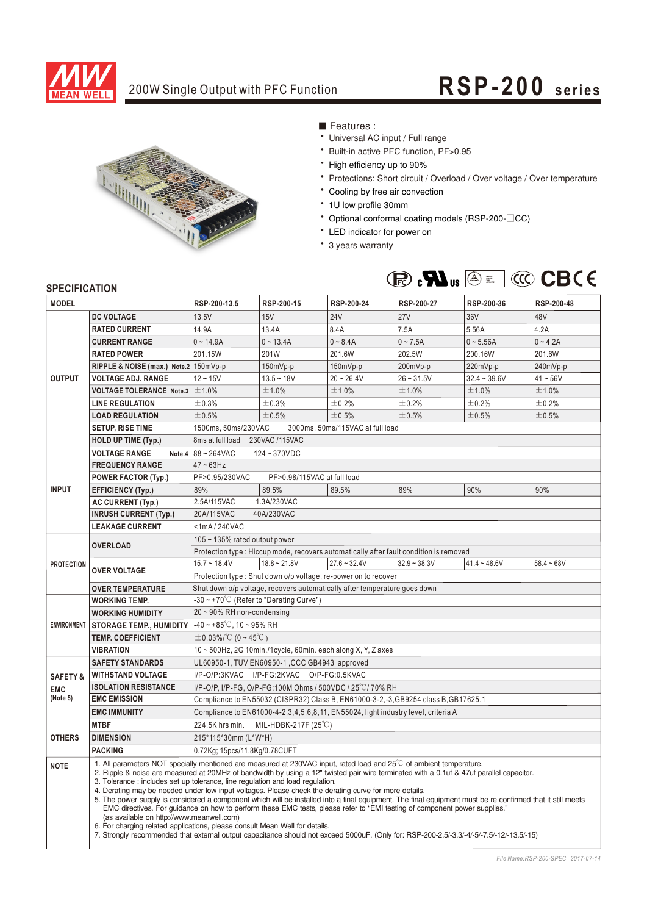

## 200W Single Output with PFC Function **RSP-200** series



■ Features :

- Universal AC input / Full range
- \* Built-in active PFC function, PF>0.95
- High efficiency up to 90%
- \* Protections: Short circuit / Overload / Over voltage / Over temperature
- \* Cooling by free air convection
- \* 1U low profile 30mm
- Optional conformal coating models (RSP-200-CC)
- \* LED indicator for power on
- \* 3 years warranty



### **SPECIFICATION**

| <b>JELUIFIUAI IUN</b><br><b>MODEL</b> |                                           | RSP-200-13.5                                                                                                                                                                                                                                                                                                                                                                                                                                                                                                                                                                                                                                                                                                                                                                                                                                                                                                                                                                                  | RSP-200-15     | RSP-200-24     | RSP-200-27     | RSP-200-36     | RSP-200-48   |  |  |  |
|---------------------------------------|-------------------------------------------|-----------------------------------------------------------------------------------------------------------------------------------------------------------------------------------------------------------------------------------------------------------------------------------------------------------------------------------------------------------------------------------------------------------------------------------------------------------------------------------------------------------------------------------------------------------------------------------------------------------------------------------------------------------------------------------------------------------------------------------------------------------------------------------------------------------------------------------------------------------------------------------------------------------------------------------------------------------------------------------------------|----------------|----------------|----------------|----------------|--------------|--|--|--|
|                                       | <b>DC VOLTAGE</b>                         | 13.5V                                                                                                                                                                                                                                                                                                                                                                                                                                                                                                                                                                                                                                                                                                                                                                                                                                                                                                                                                                                         | 15V            | <b>24V</b>     | 27V            | 36V            | 48V          |  |  |  |
| <b>OUTPUT</b>                         | <b>RATED CURRENT</b>                      | 14.9A                                                                                                                                                                                                                                                                                                                                                                                                                                                                                                                                                                                                                                                                                                                                                                                                                                                                                                                                                                                         | 13.4A          | 8.4A           | 7.5A           | 5.56A          | 4.2A         |  |  |  |
|                                       | <b>CURRENT RANGE</b>                      | $0 - 14.9A$                                                                                                                                                                                                                                                                                                                                                                                                                                                                                                                                                                                                                                                                                                                                                                                                                                                                                                                                                                                   | $0 - 13.4A$    | $0 - 8.4A$     | $0 - 7.5A$     | $0 - 5.56A$    | $0 - 4.2A$   |  |  |  |
|                                       | <b>RATED POWER</b>                        | 201.15W                                                                                                                                                                                                                                                                                                                                                                                                                                                                                                                                                                                                                                                                                                                                                                                                                                                                                                                                                                                       | 201W           | 201.6W         | 202.5W         | 200.16W        | 201.6W       |  |  |  |
|                                       | RIPPLE & NOISE (max.) Note.2 150mVp-p     |                                                                                                                                                                                                                                                                                                                                                                                                                                                                                                                                                                                                                                                                                                                                                                                                                                                                                                                                                                                               | 150mVp-p       | 150mVp-p       | 200mVp-p       | 220mVp-p       | 240mVp-p     |  |  |  |
|                                       | <b>VOLTAGE ADJ. RANGE</b>                 | $12 - 15V$                                                                                                                                                                                                                                                                                                                                                                                                                                                                                                                                                                                                                                                                                                                                                                                                                                                                                                                                                                                    | $13.5 - 18V$   | $20 - 26.4V$   | $26 - 31.5V$   | $32.4 - 39.6V$ | $41 - 56V$   |  |  |  |
|                                       | <b>VOLTAGE TOLERANCE Note.3</b>           | ±1.0%                                                                                                                                                                                                                                                                                                                                                                                                                                                                                                                                                                                                                                                                                                                                                                                                                                                                                                                                                                                         | ±1.0%          | ±1.0%          | ±1.0%          | ±1.0%          | ±1.0%        |  |  |  |
|                                       | <b>LINE REGULATION</b>                    | ±0.3%                                                                                                                                                                                                                                                                                                                                                                                                                                                                                                                                                                                                                                                                                                                                                                                                                                                                                                                                                                                         | ±0.3%          | ±0.2%          | ±0.2%          | ±0.2%          | ±0.2%        |  |  |  |
|                                       | <b>LOAD REGULATION</b>                    | ±0.5%                                                                                                                                                                                                                                                                                                                                                                                                                                                                                                                                                                                                                                                                                                                                                                                                                                                                                                                                                                                         | ±0.5%          | ±0.5%          | ±0.5%          | ±0.5%          | ±0.5%        |  |  |  |
|                                       | <b>SETUP, RISE TIME</b>                   | 1500ms, 50ms/230VAC<br>3000ms, 50ms/115VAC at full load                                                                                                                                                                                                                                                                                                                                                                                                                                                                                                                                                                                                                                                                                                                                                                                                                                                                                                                                       |                |                |                |                |              |  |  |  |
|                                       | <b>HOLD UP TIME (Typ.)</b>                | 8ms at full load<br>230VAC /115VAC                                                                                                                                                                                                                                                                                                                                                                                                                                                                                                                                                                                                                                                                                                                                                                                                                                                                                                                                                            |                |                |                |                |              |  |  |  |
|                                       | <b>VOLTAGE RANGE</b>                      | Note.4 $ 88 - 264$ VAC<br>124~370VDC                                                                                                                                                                                                                                                                                                                                                                                                                                                                                                                                                                                                                                                                                                                                                                                                                                                                                                                                                          |                |                |                |                |              |  |  |  |
|                                       | <b>FREQUENCY RANGE</b>                    | $47 \sim 63$ Hz                                                                                                                                                                                                                                                                                                                                                                                                                                                                                                                                                                                                                                                                                                                                                                                                                                                                                                                                                                               |                |                |                |                |              |  |  |  |
| <b>INPUT</b>                          | <b>POWER FACTOR (Typ.)</b>                | PF>0.95/230VAC<br>PF>0.98/115VAC at full load                                                                                                                                                                                                                                                                                                                                                                                                                                                                                                                                                                                                                                                                                                                                                                                                                                                                                                                                                 |                |                |                |                |              |  |  |  |
|                                       | <b>EFFICIENCY (Typ.)</b>                  | 89%                                                                                                                                                                                                                                                                                                                                                                                                                                                                                                                                                                                                                                                                                                                                                                                                                                                                                                                                                                                           | 89.5%          | 89.5%          | 89%            | 90%            | 90%          |  |  |  |
|                                       | <b>AC CURRENT (Typ.)</b>                  | 2.5A/115VAC<br>1.3A/230VAC                                                                                                                                                                                                                                                                                                                                                                                                                                                                                                                                                                                                                                                                                                                                                                                                                                                                                                                                                                    |                |                |                |                |              |  |  |  |
|                                       | <b>INRUSH CURRENT (Typ.)</b>              | 20A/115VAC<br>40A/230VAC                                                                                                                                                                                                                                                                                                                                                                                                                                                                                                                                                                                                                                                                                                                                                                                                                                                                                                                                                                      |                |                |                |                |              |  |  |  |
|                                       | <b>LEAKAGE CURRENT</b>                    | $<$ 1mA/240VAC                                                                                                                                                                                                                                                                                                                                                                                                                                                                                                                                                                                                                                                                                                                                                                                                                                                                                                                                                                                |                |                |                |                |              |  |  |  |
|                                       | <b>OVERLOAD</b>                           | $105 - 135\%$ rated output power                                                                                                                                                                                                                                                                                                                                                                                                                                                                                                                                                                                                                                                                                                                                                                                                                                                                                                                                                              |                |                |                |                |              |  |  |  |
|                                       |                                           | Protection type: Hiccup mode, recovers automatically after fault condition is removed                                                                                                                                                                                                                                                                                                                                                                                                                                                                                                                                                                                                                                                                                                                                                                                                                                                                                                         |                |                |                |                |              |  |  |  |
| <b>PROTECTION</b>                     | <b>OVER VOLTAGE</b>                       | $15.7 - 18.4V$                                                                                                                                                                                                                                                                                                                                                                                                                                                                                                                                                                                                                                                                                                                                                                                                                                                                                                                                                                                | $18.8 - 21.8V$ | $27.6 - 32.4V$ | $32.9 - 38.3V$ | $41.4 - 48.6V$ | $58.4 - 68V$ |  |  |  |
|                                       |                                           | Protection type: Shut down o/p voltage, re-power on to recover                                                                                                                                                                                                                                                                                                                                                                                                                                                                                                                                                                                                                                                                                                                                                                                                                                                                                                                                |                |                |                |                |              |  |  |  |
|                                       | <b>OVER TEMPERATURE</b>                   | Shut down o/p voltage, recovers automatically after temperature goes down                                                                                                                                                                                                                                                                                                                                                                                                                                                                                                                                                                                                                                                                                                                                                                                                                                                                                                                     |                |                |                |                |              |  |  |  |
| <b>ENVIRONMENT</b>                    | <b>WORKING TEMP.</b>                      | -30 ~ +70°C (Refer to "Derating Curve")                                                                                                                                                                                                                                                                                                                                                                                                                                                                                                                                                                                                                                                                                                                                                                                                                                                                                                                                                       |                |                |                |                |              |  |  |  |
|                                       | <b>WORKING HUMIDITY</b>                   | 20~90% RH non-condensing                                                                                                                                                                                                                                                                                                                                                                                                                                                                                                                                                                                                                                                                                                                                                                                                                                                                                                                                                                      |                |                |                |                |              |  |  |  |
|                                       | <b>STORAGE TEMP., HUMIDITY</b>            | $-40 \sim +85^{\circ}$ C, 10 ~ 95% RH                                                                                                                                                                                                                                                                                                                                                                                                                                                                                                                                                                                                                                                                                                                                                                                                                                                                                                                                                         |                |                |                |                |              |  |  |  |
|                                       | <b>TEMP. COEFFICIENT</b>                  | $\pm$ 0.03%/°C (0~45°C)                                                                                                                                                                                                                                                                                                                                                                                                                                                                                                                                                                                                                                                                                                                                                                                                                                                                                                                                                                       |                |                |                |                |              |  |  |  |
|                                       | <b>VIBRATION</b>                          | 10~500Hz, 2G 10min./1cycle, 60min. each along X, Y, Z axes                                                                                                                                                                                                                                                                                                                                                                                                                                                                                                                                                                                                                                                                                                                                                                                                                                                                                                                                    |                |                |                |                |              |  |  |  |
|                                       | <b>SAFETY STANDARDS</b>                   | UL60950-1, TUV EN60950-1, CCC GB4943 approved                                                                                                                                                                                                                                                                                                                                                                                                                                                                                                                                                                                                                                                                                                                                                                                                                                                                                                                                                 |                |                |                |                |              |  |  |  |
| <b>SAFETY &amp;</b>                   | <b>WITHSTAND VOLTAGE</b>                  | I/P-O/P:3KVAC I/P-FG:2KVAC O/P-FG:0.5KVAC                                                                                                                                                                                                                                                                                                                                                                                                                                                                                                                                                                                                                                                                                                                                                                                                                                                                                                                                                     |                |                |                |                |              |  |  |  |
| <b>EMC</b>                            | <b>ISOLATION RESISTANCE</b>               | I/P-O/P, I/P-FG, O/P-FG:100M Ohms / 500VDC / 25°C / 70% RH                                                                                                                                                                                                                                                                                                                                                                                                                                                                                                                                                                                                                                                                                                                                                                                                                                                                                                                                    |                |                |                |                |              |  |  |  |
| (Note 5)                              | <b>EMC EMISSION</b>                       | Compliance to EN55032 (CISPR32) Class B, EN61000-3-2,-3, GB9254 class B, GB17625.1                                                                                                                                                                                                                                                                                                                                                                                                                                                                                                                                                                                                                                                                                                                                                                                                                                                                                                            |                |                |                |                |              |  |  |  |
|                                       | <b>EMC IMMUNITY</b>                       | Compliance to EN61000-4-2, 3, 4, 5, 6, 8, 11, EN55024, light industry level, criteria A                                                                                                                                                                                                                                                                                                                                                                                                                                                                                                                                                                                                                                                                                                                                                                                                                                                                                                       |                |                |                |                |              |  |  |  |
|                                       | <b>MTBF</b>                               | 224.5K hrs min.<br>MIL-HDBK-217F (25°C)                                                                                                                                                                                                                                                                                                                                                                                                                                                                                                                                                                                                                                                                                                                                                                                                                                                                                                                                                       |                |                |                |                |              |  |  |  |
| <b>OTHERS</b>                         | <b>DIMENSION</b>                          | 215*115*30mm (L*W*H)                                                                                                                                                                                                                                                                                                                                                                                                                                                                                                                                                                                                                                                                                                                                                                                                                                                                                                                                                                          |                |                |                |                |              |  |  |  |
|                                       | <b>PACKING</b>                            | 0.72Kg; 15pcs/11.8Kg/0.78CUFT                                                                                                                                                                                                                                                                                                                                                                                                                                                                                                                                                                                                                                                                                                                                                                                                                                                                                                                                                                 |                |                |                |                |              |  |  |  |
| <b>NOTE</b>                           | (as available on http://www.meanwell.com) | 1. All parameters NOT specially mentioned are measured at 230VAC input, rated load and 25 <sup>°</sup> C of ambient temperature.<br>2. Ripple & noise are measured at 20MHz of bandwidth by using a 12" twisted pair-wire terminated with a 0.1uf & 47uf parallel capacitor.<br>3. Tolerance: includes set up tolerance, line regulation and load regulation.<br>4. Derating may be needed under low input voltages. Please check the derating curve for more details.<br>5. The power supply is considered a component which will be installed into a final equipment. The final equipment must be re-confirmed that it still meets<br>EMC directives. For guidance on how to perform these EMC tests, please refer to "EMI testing of component power supplies."<br>6. For charging related applications, please consult Mean Well for details.<br>7. Strongly recommended that external output capacitance should not exceed 5000uF. (Only for: RSP-200-2.5/-3.3/-4/-5/-7.5/-12/-13.5/-15) |                |                |                |                |              |  |  |  |